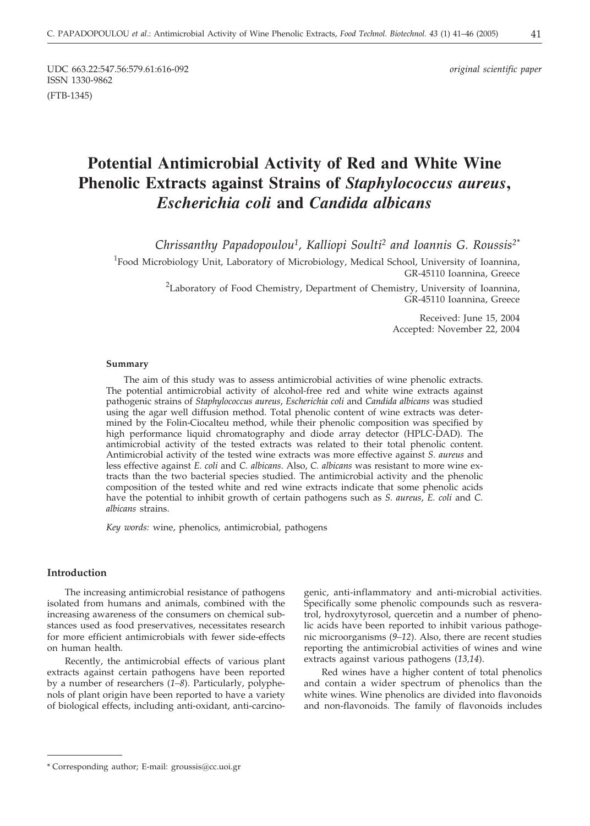UDC 663.22:547.56:579.61:616-092 *original scientific paper* ISSN 1330-9862 (FTB-1345)

# **Potential Antimicrobial Activity of Red and White Wine Phenolic Extracts against Strains of** *Staphylococcus aureus***,** *Escherichia coli* **and** *Candida albicans*

*Chrissanthy Papadopoulou1, Kalliopi Soulti2 and Ioannis G. Roussis2\**

<sup>1</sup>Food Microbiology Unit, Laboratory of Microbiology, Medical School, University of Ioannina, GR-45110 Ioannina, Greece

<sup>2</sup>Laboratory of Food Chemistry, Department of Chemistry, University of Ioannina, GR-45110 Ioannina, Greece

> Received: June 15, 2004 Accepted: November 22, 2004

#### **Summary**

The aim of this study was to assess antimicrobial activities of wine phenolic extracts. The potential antimicrobial activity of alcohol-free red and white wine extracts against pathogenic strains of *Staphylococcus aureus*, *Escherichia coli* and *Candida albicans* was studied using the agar well diffusion method. Total phenolic content of wine extracts was determined by the Folin-Ciocalteu method, while their phenolic composition was specified by high performance liquid chromatography and diode array detector (HPLC-DAD). The antimicrobial activity of the tested extracts was related to their total phenolic content. Antimicrobial activity of the tested wine extracts was more effective against *S. aureus* and less effective against *E. coli* and *C. albicans*. Also, *C. albicans* was resistant to more wine extracts than the two bacterial species studied. The antimicrobial activity and the phenolic composition of the tested white and red wine extracts indicate that some phenolic acids have the potential to inhibit growth of certain pathogens such as *S. aureus*, *E. coli* and *C. albicans* strains.

*Key words:* wine, phenolics, antimicrobial, pathogens

## **Introduction**

The increasing antimicrobial resistance of pathogens isolated from humans and animals, combined with the increasing awareness of the consumers on chemical substances used as food preservatives, necessitates research for more efficient antimicrobials with fewer side-effects on human health.

Recently, the antimicrobial effects of various plant extracts against certain pathogens have been reported by a number of researchers (*1–8*). Particularly, polyphenols of plant origin have been reported to have a variety of biological effects, including anti-oxidant, anti-carcino-

genic, anti-inflammatory and anti-microbial activities. Specifically some phenolic compounds such as resveratrol, hydroxytyrosol, quercetin and a number of phenolic acids have been reported to inhibit various pathogenic microorganisms (*9–12*). Also, there are recent studies reporting the antimicrobial activities of wines and wine extracts against various pathogens (*13,14*).

Red wines have a higher content of total phenolics and contain a wider spectrum of phenolics than the white wines. Wine phenolics are divided into flavonoids and non-flavonoids. The family of flavonoids includes

<sup>\*</sup> Corresponding author; E-mail: groussis*@*cc.uoi.gr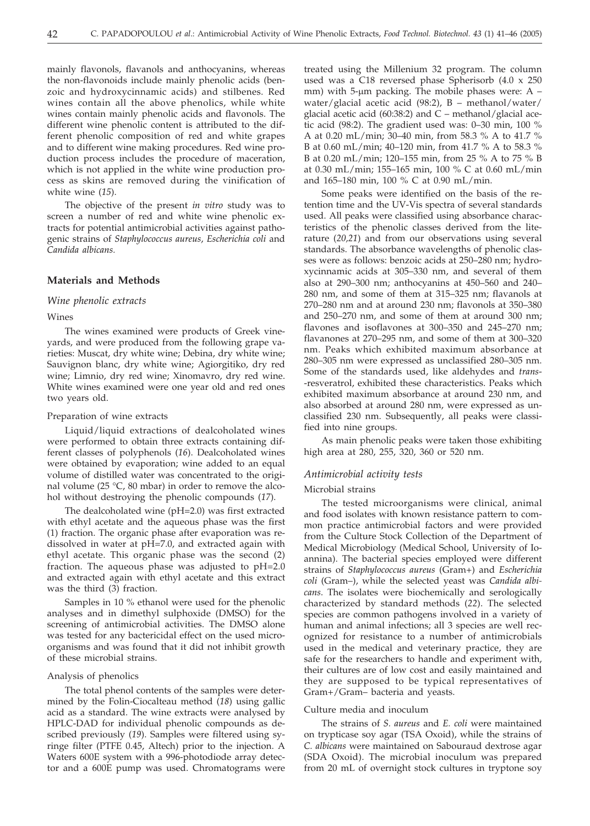mainly flavonols, flavanols and anthocyanins, whereas the non-flavonoids include mainly phenolic acids (benzoic and hydroxycinnamic acids) and stilbenes. Red wines contain all the above phenolics, while white wines contain mainly phenolic acids and flavonols. The different wine phenolic content is attributed to the different phenolic composition of red and white grapes and to different wine making procedures. Red wine production process includes the procedure of maceration, which is not applied in the white wine production process as skins are removed during the vinification of white wine (*15*).

The objective of the present *in vitro* study was to screen a number of red and white wine phenolic extracts for potential antimicrobial activities against pathogenic strains of *Staphylococcus aureus*, *Escherichia coli* and *Candida albicans.*

#### **Materials and Methods**

#### *Wine phenolic extracts*

#### Wines

The wines examined were products of Greek vineyards, and were produced from the following grape varieties: Muscat, dry white wine; Debina, dry white wine; Sauvignon blanc, dry white wine; Agiorgitiko, dry red wine; Limnio, dry red wine; Xinomavro, dry red wine. White wines examined were one year old and red ones two years old.

#### Preparation of wine extracts

Liquid/liquid extractions of dealcoholated wines were performed to obtain three extracts containing different classes of polyphenols (*16*). Dealcoholated wines were obtained by evaporation; wine added to an equal volume of distilled water was concentrated to the original volume (25 °C, 80 mbar) in order to remove the alcohol without destroying the phenolic compounds (*17*).

The dealcoholated wine (pH=2.0) was first extracted with ethyl acetate and the aqueous phase was the first (1) fraction. The organic phase after evaporation was redissolved in water at pH=7.0, and extracted again with ethyl acetate. This organic phase was the second (2) fraction. The aqueous phase was adjusted to pH=2.0 and extracted again with ethyl acetate and this extract was the third (3) fraction.

Samples in 10 % ethanol were used for the phenolic analyses and in dimethyl sulphoxide (DMSO) for the screening of antimicrobial activities. The DMSO alone was tested for any bactericidal effect on the used microorganisms and was found that it did not inhibit growth of these microbial strains.

#### Analysis of phenolics

The total phenol contents of the samples were determined by the Folin-Ciocalteau method (*18*) using gallic acid as a standard. The wine extracts were analysed by HPLC-DAD for individual phenolic compounds as described previously (*19*). Samples were filtered using syringe filter (PTFE 0.45, Altech) prior to the injection. A Waters 600E system with a 996-photodiode array detector and a 600E pump was used. Chromatograms were

treated using the Millenium 32 program. The column used was a C18 reversed phase Spherisorb (4.0 x 250 mm) with 5- $\mu$ m packing. The mobile phases were: A – water/glacial acetic acid (98:2), B – methanol/water/ glacial acetic acid (60:38:2) and C – methanol/glacial acetic acid (98:2). The gradient used was: 0–30 min, 100 % A at 0.20 mL/min; 30–40 min, from 58.3 % A to 41.7 % B at 0.60 mL/min; 40–120 min, from 41.7 % A to 58.3 % B at 0.20 mL/min; 120–155 min, from 25 % A to 75 % B at 0.30 mL/min; 155–165 min, 100 % C at 0.60 mL/min and 165–180 min, 100 % C at 0.90 mL/min.

Some peaks were identified on the basis of the retention time and the UV-Vis spectra of several standards used. All peaks were classified using absorbance characteristics of the phenolic classes derived from the literature (*20,21*) and from our observations using several standards. The absorbance wavelengths of phenolic classes were as follows: benzoic acids at 250–280 nm; hydroxycinnamic acids at 305–330 nm, and several of them also at 290–300 nm; anthocyanins at 450–560 and 240– 280 nm, and some of them at 315–325 nm; flavanols at 270–280 nm and at around 230 nm; flavonols at 350–380 and 250–270 nm, and some of them at around 300 nm; flavones and isoflavones at 300–350 and 245–270 nm; flavanones at 270–295 nm, and some of them at 300–320 nm. Peaks which exhibited maximum absorbance at 280–305 nm were expressed as unclassified 280–305 nm. Some of the standards used, like aldehydes and *trans*- -resveratrol, exhibited these characteristics. Peaks which exhibited maximum absorbance at around 230 nm, and also absorbed at around 280 nm, were expressed as unclassified 230 nm. Subsequently, all peaks were classified into nine groups.

As main phenolic peaks were taken those exhibiting high area at 280, 255, 320, 360 or 520 nm.

# *Antimicrobial activity tests*

#### Microbial strains

The tested microorganisms were clinical, animal and food isolates with known resistance pattern to common practice antimicrobial factors and were provided from the Culture Stock Collection of the Department of Medical Microbiology (Medical School, University of Ioannina). The bacterial species employed were different strains of *Staphylococcus aureus* (Gram+) and *Escherichia coli* (Gram–), while the selected yeast was *Candida albicans*. The isolates were biochemically and serologically characterized by standard methods (*22*). The selected species are common pathogens involved in a variety of human and animal infections; all 3 species are well recognized for resistance to a number of antimicrobials used in the medical and veterinary practice, they are safe for the researchers to handle and experiment with, their cultures are of low cost and easily maintained and they are supposed to be typical representatives of Gram+/Gram– bacteria and yeasts.

#### Culture media and inoculum

The strains of *S. aureus* and *E. coli* were maintained on trypticase soy agar (TSA Oxoid), while the strains of *C. albicans* were maintained on Sabouraud dextrose agar (SDA Oxoid). The microbial inoculum was prepared from 20 mL of overnight stock cultures in tryptone soy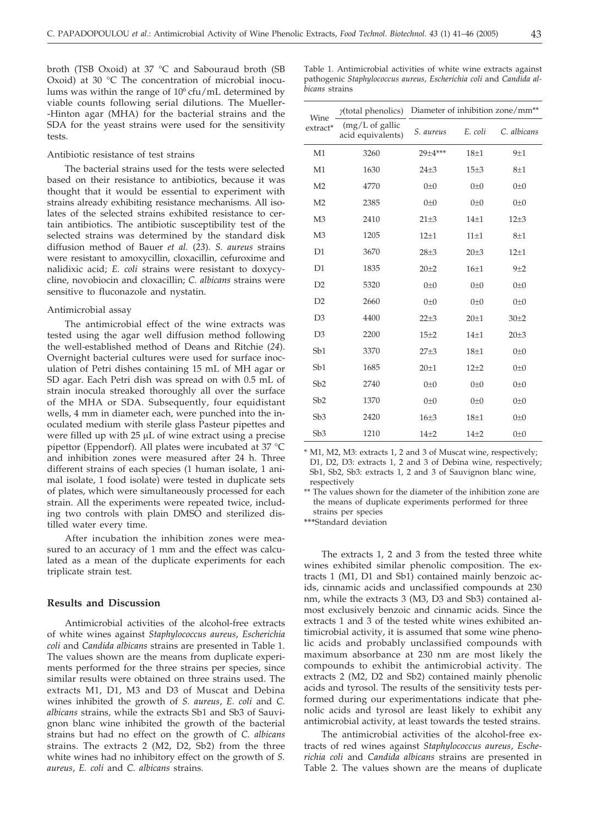broth (TSB Oxoid) at 37 °C and Sabouraud broth (SB Oxoid) at 30 °C The concentration of microbial inoculums was within the range of 10<sup>6</sup> cfu/mL determined by viable counts following serial dilutions. The Mueller- -Hinton agar (MHA) for the bacterial strains and the SDA for the yeast strains were used for the sensitivity tests.

#### Antibiotic resistance of test strains

The bacterial strains used for the tests were selected based on their resistance to antibiotics, because it was thought that it would be essential to experiment with strains already exhibiting resistance mechanisms. All isolates of the selected strains exhibited resistance to certain antibiotics. The antibiotic susceptibility test of the selected strains was determined by the standard disk diffusion method of Bauer *et al.* (*23*). *S. aureus* strains were resistant to amoxycillin, cloxacillin, cefuroxime and nalidixic acid; *E. coli* strains were resistant to doxycycline, novobiocin and cloxacillin; *C. albicans* strains were sensitive to fluconazole and nystatin.

#### Antimicrobial assay

The antimicrobial effect of the wine extracts was tested using the agar well diffusion method following the well-established method of Deans and Ritchie (*24*). Overnight bacterial cultures were used for surface inoculation of Petri dishes containing 15 mL of MH agar or SD agar. Each Petri dish was spread on with 0.5 mL of strain inocula streaked thoroughly all over the surface of the MHA or SDA. Subsequently, four equidistant wells, 4 mm in diameter each, were punched into the inoculated medium with sterile glass Pasteur pipettes and were filled up with  $25 \mu L$  of wine extract using a precise pipettor (Eppendorf). All plates were incubated at 37 °C and inhibition zones were measured after 24 h. Three different strains of each species (1 human isolate, 1 animal isolate, 1 food isolate) were tested in duplicate sets of plates, which were simultaneously processed for each strain. All the experiments were repeated twice, including two controls with plain DMSO and sterilized distilled water every time.

After incubation the inhibition zones were measured to an accuracy of 1 mm and the effect was calculated as a mean of the duplicate experiments for each triplicate strain test.

#### **Results and Discussion**

Antimicrobial activities of the alcohol-free extracts of white wines against *Staphylococcus aureus*, *Escherichia coli* and *Candida albicans* strains are presented in Table 1. The values shown are the means from duplicate experiments performed for the three strains per species, since similar results were obtained on three strains used. The extracts M1, D1, M3 and D3 of Muscat and Debina wines inhibited the growth of *S. aureus*, *E. coli* and *C. albicans* strains, while the extracts Sb1 and Sb3 of Sauvignon blanc wine inhibited the growth of the bacterial strains but had no effect on the growth of *C. albicans* strains. The extracts 2 (M2, D2, Sb2) from the three white wines had no inhibitory effect on the growth of *S. aureus*, *E. coli* and *C. albicans* strains.

| Wine<br>extract* | $y$ (total phenolics)                   | Diameter of inhibition zone/mm <sup>**</sup> |                  |              |
|------------------|-----------------------------------------|----------------------------------------------|------------------|--------------|
|                  | $(mg/L)$ of gallic<br>acid equivalents) | S. aureus                                    | E. coli          | C. albicans  |
| M1               | 3260                                    | 29±4***                                      | $18\pm1$         | $9+1$        |
| M1               | 1630                                    | $24 + 3$                                     | 15±3             | $8 + 1$      |
| M <sub>2</sub>   | 4770                                    | $0\not=0$                                    | $0\not=0$        | $0\not=0$    |
| M <sub>2</sub>   | 2385                                    | $() + ()$                                    | $0\pm 0$         | $0\pm 0$     |
| M <sub>3</sub>   | 2410                                    | $21\pm3$                                     | $14 + 1$         | $12 + 3$     |
| M <sub>3</sub>   | 1205                                    | $12+1$                                       | $11\pm1$         | $8\pm1$      |
| D <sub>1</sub>   | 3670                                    | $28 + 3$                                     | $20 + 3$         | $12 + 1$     |
| D1               | 1835                                    | $20 + 2$                                     | 16 <sub>±1</sub> | $9+2$        |
| D2               | 5320                                    | $0\not=0$                                    | $0\pm 0$         | $0\not=0$    |
| D2               | 2660                                    | $() + ()$                                    | $0\pm 0$         | $0\pm 0$     |
| D <sub>3</sub>   | 4400                                    | $22 + 3$                                     | $20 + 1$         | $30\pm2$     |
| D <sub>3</sub>   | 2200                                    | $15\pm2$                                     | $14\pm1$         | $20 + 3$     |
| Sb1              | 3370                                    | $27 + 3$                                     | 18 <sub>±1</sub> | $0\not\pm 0$ |
| Sb1              | 1685                                    | $20 + 1$                                     | $12 + 2$         | $0\not=0$    |
| Sb2              | 2740                                    | $0\not=0$                                    | $0\pm 0$         | $0\not=0$    |
| Sb2              | 1370                                    | $0\not=0$                                    | $0\pm 0$         | $0\pm 0$     |
| Sb3              | 2420                                    | $16 + 3$                                     | $18\pm1$         | $0\not\pm 0$ |
| Sb3              | 1210                                    | $14\pm 2$                                    | $14 + 2$         | $0\not=0$    |

\* M1, M2, M3: extracts 1, 2 and 3 of Muscat wine, respectively; D1, D2, D3: extracts 1, 2 and 3 of Debina wine, respectively; Sb1, Sb2, Sb3: extracts 1, 2 and 3 of Sauvignon blanc wine, respectively

\*\* The values shown for the diameter of the inhibition zone are the means of duplicate experiments performed for three strains per species

**\*\*\***Standard deviation

The extracts 1, 2 and 3 from the tested three white wines exhibited similar phenolic composition. The extracts 1 (M1, D1 and Sb1) contained mainly benzoic acids, cinnamic acids and unclassified compounds at 230 nm, while the extracts 3 (M3, D3 and Sb3) contained almost exclusively benzoic and cinnamic acids. Since the extracts 1 and 3 of the tested white wines exhibited antimicrobial activity, it is assumed that some wine phenolic acids and probably unclassified compounds with maximum absorbance at 230 nm are most likely the compounds to exhibit the antimicrobial activity. The extracts 2 (M2, D2 and Sb2) contained mainly phenolic acids and tyrosol. The results of the sensitivity tests performed during our experimentations indicate that phenolic acids and tyrosol are least likely to exhibit any antimicrobial activity, at least towards the tested strains.

The antimicrobial activities of the alcohol-free extracts of red wines against *Staphylococcus aureus*, *Escherichia coli* and *Candida albicans* strains are presented in Table 2. The values shown are the means of duplicate

Table 1. Antimicrobial activities of white wine extracts against pathogenic *Staphylococcus aureus, Escherichia coli* and *Candida albicans* strains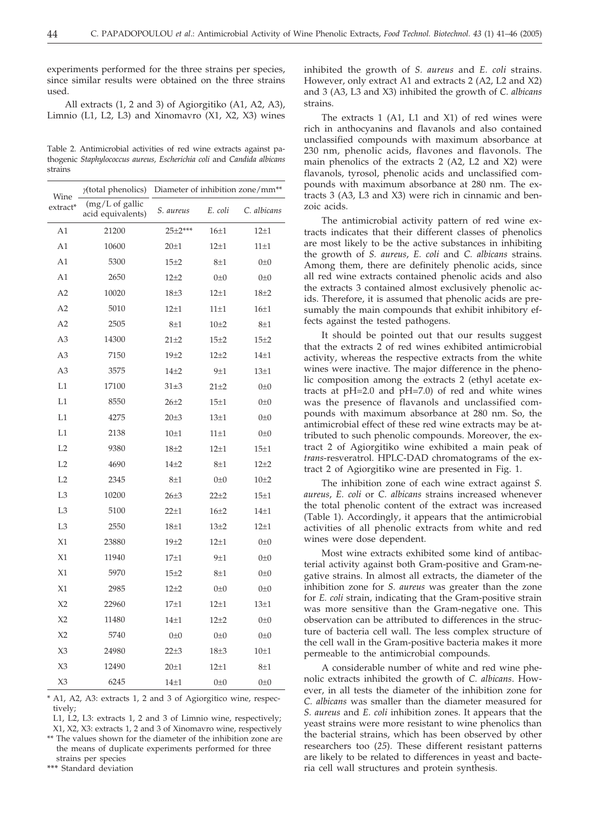experiments performed for the three strains per species, since similar results were obtained on the three strains used.

All extracts (1, 2 and 3) of Agiorgitiko (A1, A2, A3), Limnio (L1, L2, L3) and Xinomavro (X1, X2, X3) wines

Table 2. Antimicrobial activities of red wine extracts against pathogenic *Staphylococcus aureus, Escherichia coli* and *Candida albicans* strains

| Wine<br>extract* | y(total phenolics)                     | Diameter of inhibition zone/mm <sup>**</sup> |                  |                  |
|------------------|----------------------------------------|----------------------------------------------|------------------|------------------|
|                  | $(mg/L of$ gallic<br>acid equivalents) | S. aureus                                    | E. coli          | C. albicans      |
| A1               | 21200                                  | $25+2***$                                    | 16 <sub>±1</sub> | $12 + 1$         |
| A1               | 10600                                  | $20 + 1$                                     | $12\pm1$         | $11\pm1$         |
| A1               | 5300                                   | $15\pm2$                                     | $8\pm1$          | $0\not=0$        |
| A1               | 2650                                   | $12 + 2$                                     | $0\not\pm 0$     | $0\not=0$        |
| A <sub>2</sub>   | 10020                                  | $18\pm3$                                     | $12 + 1$         | $18 + 2$         |
| A <sub>2</sub>   | 5010                                   | $12 + 1$                                     | $11\pm1$         | 16 <sub>±1</sub> |
| A <sub>2</sub>   | 2505                                   | $8\pm1$                                      | $10\pm 2$        | $8\pm1$          |
| A <sub>3</sub>   | 14300                                  | $21 + 2$                                     | $15 + 2$         | 15±2             |
| A <sub>3</sub>   | 7150                                   | $19 + 2$                                     | $12 + 2$         | $14\pm1$         |
| A <sub>3</sub>   | 3575                                   | $14\pm 2$                                    | $9\pm1$          | $13\pm1$         |
| L1               | 17100                                  | $31 + 3$                                     | $21 + 2$         | $0\not=0$        |
| L1               | 8550                                   | $26 + 2$                                     | $15\pm1$         | $0\not=0$        |
| L1               | 4275                                   | $20 + 3$                                     | $13\pm1$         | $0\not=0$        |
| L1               | 2138                                   | 10 <sub>±1</sub>                             | $11\pm1$         | $0\pm 0$         |
| L2               | 9380                                   | $18 + 2$                                     | $12 + 1$         | $15\pm1$         |
| L2               | 4690                                   | $14 + 2$                                     | $8\pm1$          | $12 + 2$         |
| L2               | 2345                                   | $8\pm1$                                      | $0\not=0$        | $10\pm 2$        |
| L <sub>3</sub>   | 10200                                  | $26 + 3$                                     | $22 + 2$         | $15\pm1$         |
| L <sub>3</sub>   | 5100                                   | $22 + 1$                                     | $16\pm2$         | $14\pm1$         |
| L <sub>3</sub>   | 2550                                   | $18 + 1$                                     | $13+2$           | $12 + 1$         |
| X1               | 23880                                  | $19\pm2$                                     | $12\pm1$         | $0\not=0$        |
| X1               | 11940                                  | $17\pm1$                                     | $9\pm1$          | $0\not=0$        |
| X1               | 5970                                   | $15+2$                                       | $8\pm1$          | $0\not=0$        |
| X1               | 2985                                   | $12 + 2$                                     | $0\not=0$        | $0\not=0$        |
| X <sub>2</sub>   | 22960                                  | $17 + 1$                                     | $12 + 1$         | $13\pm1$         |
| X <sub>2</sub>   | 11480                                  | $14 + 1$                                     | $12 + 2$         | $0\pm 0$         |
| X <sub>2</sub>   | 5740                                   | $0\not=0$                                    | $0\not\pm 0$     | $0\not=0$        |
| X3               | 24980                                  | $22 + 3$                                     | $18 + 3$         | $10\pm1$         |
| X3               | 12490                                  | $20 \pm 1$                                   | $12 + 1$         | $8\pm1$          |
| X <sub>3</sub>   | 6245                                   | $14\pm1$                                     | $0\not=0$        | $0\pm 0$         |

\* A1, A2, A3: extracts 1, 2 and 3 of Agiorgitico wine, respectively;

L1, L2, L3: extracts 1, 2 and 3 of Limnio wine, respectively;

X1, X2, X3: extracts 1, 2 and 3 of Xinomavro wine, respectively \*\* The values shown for the diameter of the inhibition zone are the means of duplicate experiments performed for three

strains per species

**\*\*\*** Standard deviation

inhibited the growth of *S. aureus* and *E. coli* strains. However, only extract A1 and extracts 2 (A2, L2 and X2) and 3 (A3, L3 and X3) inhibited the growth of *C. albicans* strains.

The extracts 1 (A1, L1 and X1) of red wines were rich in anthocyanins and flavanols and also contained unclassified compounds with maximum absorbance at 230 nm, phenolic acids, flavones and flavonols. The main phenolics of the extracts 2 (A2, L2 and X2) were flavanols, tyrosol, phenolic acids and unclassified compounds with maximum absorbance at 280 nm. The extracts 3 (A3, L3 and X3) were rich in cinnamic and benzoic acids.

The antimicrobial activity pattern of red wine extracts indicates that their different classes of phenolics are most likely to be the active substances in inhibiting the growth of *S. aureus*, *E. coli* and *C. albicans* strains. Among them, there are definitely phenolic acids, since all red wine extracts contained phenolic acids and also the extracts 3 contained almost exclusively phenolic acids. Therefore, it is assumed that phenolic acids are presumably the main compounds that exhibit inhibitory effects against the tested pathogens.

It should be pointed out that our results suggest that the extracts 2 of red wines exhibited antimicrobial activity, whereas the respective extracts from the white wines were inactive. The major difference in the phenolic composition among the extracts 2 (ethyl acetate extracts at pH=2.0 and pH=7.0) of red and white wines was the presence of flavanols and unclassified compounds with maximum absorbance at 280 nm. So, the antimicrobial effect of these red wine extracts may be attributed to such phenolic compounds. Moreover, the extract 2 of Agiorgitiko wine exhibited a main peak of *trans*-resveratrol. HPLC-DAD chromatograms of the extract 2 of Agiorgitiko wine are presented in Fig. 1.

The inhibition zone of each wine extract against *S. aureus*, *E. coli* or *C. albicans* strains increased whenever the total phenolic content of the extract was increased (Table 1). Accordingly, it appears that the antimicrobial activities of all phenolic extracts from white and red wines were dose dependent.

Most wine extracts exhibited some kind of antibacterial activity against both Gram-positive and Gram-negative strains. In almost all extracts, the diameter of the inhibition zone for *S. aureus* was greater than the zone for *E. coli* strain, indicating that the Gram-positive strain was more sensitive than the Gram-negative one. This observation can be attributed to differences in the structure of bacteria cell wall. The less complex structure of the cell wall in the Gram-positive bacteria makes it more permeable to the antimicrobial compounds.

A considerable number of white and red wine phenolic extracts inhibited the growth of *C. albicans*. However, in all tests the diameter of the inhibition zone for *C. albicans* was smaller than the diameter measured for *S. aureus* and *E. coli* inhibition zones. It appears that the yeast strains were more resistant to wine phenolics than the bacterial strains, which has been observed by other researchers too (*25*). These different resistant patterns are likely to be related to differences in yeast and bacteria cell wall structures and protein synthesis.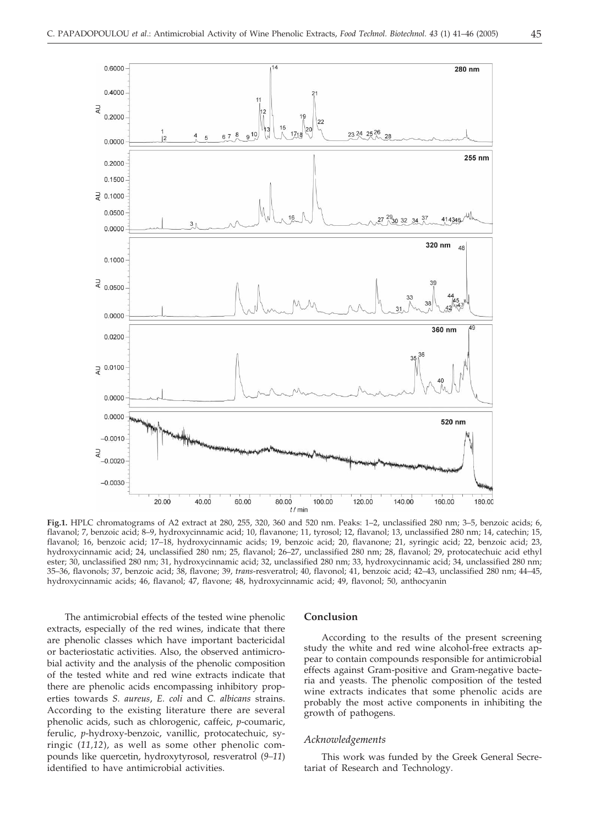

**Fig.1.** HPLC chromatograms of A2 extract at 280, 255, 320, 360 and 520 nm. Peaks: 1–2, unclassified 280 nm; 3–5, benzoic acids; 6, flavanol; 7, benzoic acid; 8–9, hydroxycinnamic acid; 10, flavanone; 11, tyrosol; 12, flavanol; 13, unclassified 280 nm; 14, catechin; 15, flavanol; 16, benzoic acid; 17–18, hydroxycinnamic acids; 19, benzoic acid; 20, flavanone; 21, syringic acid; 22, benzoic acid; 23, hydroxycinnamic acid; 24, unclassified 280 nm; 25, flavanol; 26–27, unclassified 280 nm; 28, flavanol; 29, protocatechuic acid ethyl ester; 30, unclassified 280 nm; 31, hydroxycinnamic acid; 32, unclassified 280 nm; 33, hydroxycinnamic acid; 34, unclassified 280 nm; 35–36, flavonols; 37, benzoic acid; 38, flavone; 39, *trans*-resveratrol; 40, flavonol; 41, benzoic acid; 42–43, unclassified 280 nm; 44–45, hydroxycinnamic acids; 46, flavanol; 47, flavone; 48, hydroxycinnamic acid; 49, flavonol; 50, anthocyanin

The antimicrobial effects of the tested wine phenolic extracts, especially of the red wines, indicate that there are phenolic classes which have important bactericidal or bacteriostatic activities. Also, the observed antimicrobial activity and the analysis of the phenolic composition of the tested white and red wine extracts indicate that there are phenolic acids encompassing inhibitory properties towards *S. aureus*, *E. coli* and *C. albicans* strains. According to the existing literature there are several phenolic acids, such as chlorogenic, caffeic, *p*-coumaric, ferulic, *p*-hydroxy-benzoic, vanillic, protocatechuic, syringic (*11,12*), as well as some other phenolic compounds like quercetin, hydroxytyrosol, resveratrol (*9–11*) identified to have antimicrobial activities.

### **Conclusion**

According to the results of the present screening study the white and red wine alcohol-free extracts appear to contain compounds responsible for antimicrobial effects against Gram-positive and Gram-negative bacteria and yeasts. The phenolic composition of the tested wine extracts indicates that some phenolic acids are probably the most active components in inhibiting the growth of pathogens.

#### *Acknowledgements*

This work was funded by the Greek General Secretariat of Research and Technology.